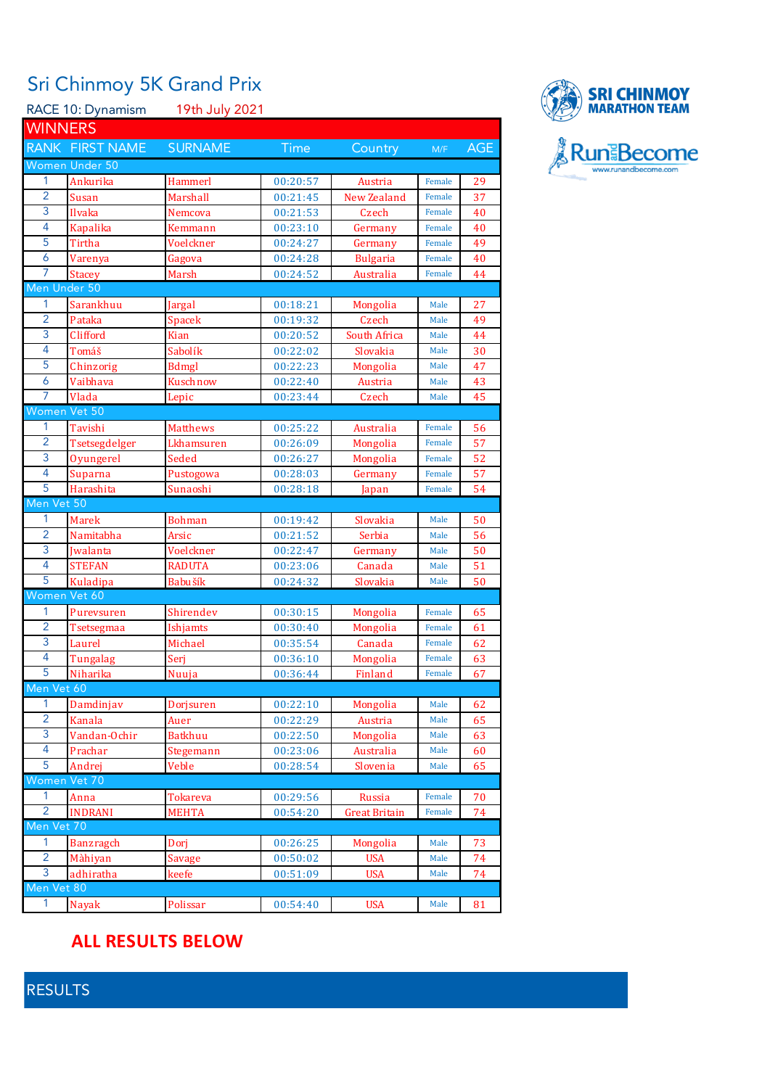## Sri Chinmoy 5K Grand Prix

| 19th July 2021<br>RACE 10: Dynamism |                        |                  |                      |                      |        |     |  |  |
|-------------------------------------|------------------------|------------------|----------------------|----------------------|--------|-----|--|--|
| <b>WINNERS</b>                      |                        |                  |                      |                      |        |     |  |  |
|                                     | <b>RANK FIRST NAME</b> | <b>SURNAME</b>   | Time<br>Country      |                      | M/F    | AGE |  |  |
|                                     | Women Under 50         |                  |                      |                      |        |     |  |  |
| 1                                   | Ankurika               | Hammerl          |                      | Austria              | Female | 29  |  |  |
| $\overline{2}$                      | Susan                  | Marshall         | 00:20:57<br>00:21:45 | New Zealand          | Female | 37  |  |  |
| 3                                   | Ilvaka                 | Nemcova          | 00:21:53             | Czech                | Female | 40  |  |  |
| $\overline{4}$                      | Kapalika               | Kemmann          | 00:23:10             | Germany              | Female | 40  |  |  |
| 5                                   | Tirtha                 | Voelckner        | 00:24:27             |                      | Female | 49  |  |  |
| 6                                   |                        |                  |                      | Germany              | Female |     |  |  |
| 7                                   | Varenya                | Gagova           | 00:24:28<br>00:24:52 | <b>Bulgaria</b>      | Female | 40  |  |  |
| Men Under 50                        | Stacey                 | Marsh            |                      | Australia            |        | 44  |  |  |
| 1                                   | Sarankhuu              |                  | 00:18:21             |                      | Male   | 27  |  |  |
| $\overline{2}$                      | Pataka                 | Jargal<br>Spacek | 00:19:32             | Mongolia<br>Czech    | Male   | 49  |  |  |
| 3                                   | Clifford               | <b>Kian</b>      | 00:20:52             | South Africa         | Male   | 44  |  |  |
| $\overline{4}$                      | Tomáš                  | Sabolík          | 00:22:02             | Slovakia             | Male   | 30  |  |  |
| 5                                   | Chinzorig              | <b>Bdmgl</b>     | 00:22:23             | Mongolia             | Male   | 47  |  |  |
| 6                                   | Vaibhava               | Kuschnow         | 00:22:40             | Austria              | Male   | 43  |  |  |
| 7                                   | Vlada                  | Lepic            | 00:23:44             | Czech                | Male   | 45  |  |  |
| Women Vet 50                        |                        |                  |                      |                      |        |     |  |  |
| 1                                   | Tavishi                | <b>Matthews</b>  | 00:25:22             | Australia            | Female | 56  |  |  |
| $\overline{2}$                      | Tsetsegdelger          | Lkhamsuren       | 00:26:09             | Mongolia             | Female | 57  |  |  |
| 3                                   | Oyungerel              | Seded            | 00:26:27             | Mongolia             | Female | 52  |  |  |
| $\overline{4}$                      | Suparna                | Pustogowa        | 00:28:03             | Germany              | Female | 57  |  |  |
| $\overline{5}$                      | Harashita              | Sunaoshi         | 00:28:18             |                      | Female | 54  |  |  |
| Men Vet 50                          |                        |                  |                      | Japan                |        |     |  |  |
| 1                                   | Marek                  | <b>Bohman</b>    | 00:19:42             | Slovakia             | Male   | 50  |  |  |
| $\overline{2}$                      | Namitabha              | Arsic            | 00:21:52             | Serbia               | Male   | 56  |  |  |
| 3                                   | Jwalanta               | Voelckner        | 00:22:47             | Germany              | Male   | 50  |  |  |
| $\overline{4}$                      | <b>STEFAN</b>          | <b>RADUTA</b>    | 00:23:06             | Canada               | Male   | 51  |  |  |
| 5                                   | Kuladipa               | Babušík          | 00:24:32             | Slovakia             | Male   | 50  |  |  |
| Women Vet 60                        |                        |                  |                      |                      |        |     |  |  |
| 1                                   | Purevsuren             | Shirendev        | 00:30:15             | Mongolia             | Female | 65  |  |  |
| $\overline{2}$                      | Tsetsegmaa             | Ishjamts         | 00:30:40             | Mongolia             | Female | 61  |  |  |
| 3                                   | Laurel                 | Michael          | 00:35:54             | Canada               | Female | 62  |  |  |
| $\overline{4}$                      | Tungalag               | Serj             | 00:36:10             | <b>Mongolia</b>      | Female | 63  |  |  |
| 5                                   | Niharika               | Nuuja            | 00:36:44             | Finland              | Female | 67  |  |  |
| Men Vet 60                          |                        |                  |                      |                      |        |     |  |  |
| 1                                   | Damdinjav              | Dorjsuren        | 00:22:10             | Mongolia             | Male   | 62  |  |  |
| $\overline{2}$                      | Kanala                 | Auer             | 00:22:29             | Austria              | Male   | 65  |  |  |
| 3                                   | Vandan-Ochir           | <b>Batkhuu</b>   | 00:22:50             | Mongolia             | Male   | 63  |  |  |
| 4                                   | Prachar                | Stegemann        | 00:23:06             | Australia            | Male   | 60  |  |  |
| 5                                   | Andrej                 | Veble            | 00:28:54             | Slovenia             | Male   | 65  |  |  |
| Women Vet 70                        |                        |                  |                      |                      |        |     |  |  |
| 1                                   | Anna                   | <b>Tokareva</b>  | 00:29:56             | Russia               | Female | 70  |  |  |
| $\overline{2}$                      | <b>INDRANI</b>         | <b>MEHTA</b>     | 00:54:20             | <b>Great Britain</b> | Female | 74  |  |  |
| Men Vet 70                          |                        |                  |                      |                      |        |     |  |  |
| $\mathbf{1}$                        | <b>Banzragch</b>       | Dorj             | 00:26:25             | Mongolia             | Male   | 73  |  |  |
| $\overline{2}$                      | Màhiyan                | <b>Savage</b>    | 00:50:02             | <b>USA</b>           | Male   | 74  |  |  |
| 3                                   | adhiratha              | keefe            | 00:51:09             | <b>USA</b>           | Male   | 74  |  |  |
| Men Vet 80                          |                        |                  |                      |                      |        |     |  |  |
| 1                                   | <b>Nayak</b>           | Polissar         | 00:54:40             | <b>USA</b>           | Male   | 81  |  |  |
|                                     |                        |                  |                      |                      |        |     |  |  |



## **ALL RESULTS BELOW**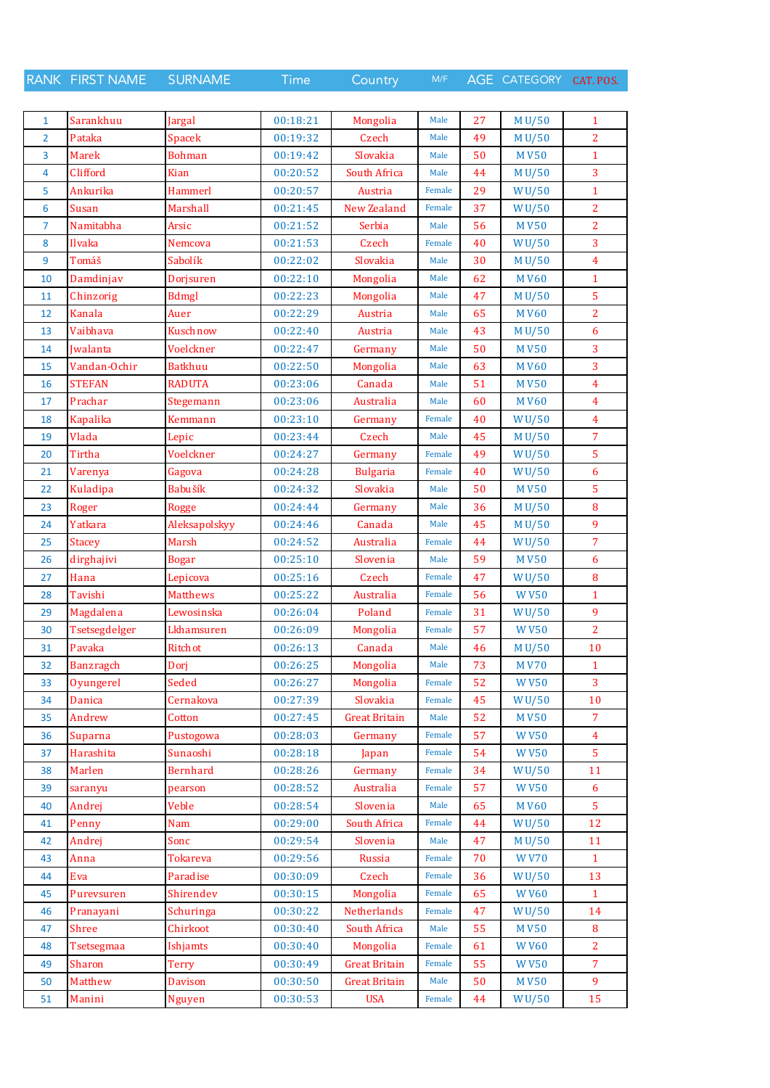RANK FIRST NAME SURNAME Time Country M/F AGE CATEGORY CAT. POS.

| $\mathbf{1}$   | Sarankhuu            |                         | 00:18:21             | Mongolia             | Male   | 27       | M U/50             | $\mathbf{1}$   |
|----------------|----------------------|-------------------------|----------------------|----------------------|--------|----------|--------------------|----------------|
| $\overline{2}$ | Pataka               | Jargal<br><b>Spacek</b> | 00:19:32             | Czech                | Male   | 49       | M U/50             | $\overline{2}$ |
| 3              | <b>Marek</b>         |                         | 00:19:42             | Slovakia             | Male   | 50       |                    | $\mathbf{1}$   |
|                | Clifford             | <b>Bohman</b><br>Kian   |                      | South Africa         |        | 44       | <b>MV50</b>        | 3              |
| 4              |                      | Hammerl                 | 00:20:52<br>00:20:57 |                      | Male   |          | M U/50             |                |
| 5              | Ankurika             |                         |                      | Austria              | Female | 29       | WU/50              | $\mathbf{1}$   |
| 6              | <b>Susan</b>         | Marshall                | 00:21:45             | New Zealand          | Female | 37       | W <sub>U</sub> /50 | $\overline{2}$ |
| $\overline{7}$ | Namitabha            | Arsic                   | 00:21:52             | Serbia               | Male   | 56       | <b>MV50</b>        | $\overline{2}$ |
| 8              | Ilvaka               | Nemcova                 | 00:21:53             | Czech                | Female | 40       | WU/50              | 3              |
| 9              | Tomáš                | Sabolík                 | 00:22:02             | Slovakia             | Male   | 30       | M U/50             | $\overline{4}$ |
| 10             | Damdinjav            | Dorjsuren               | 00:22:10             | Mongolia             | Male   | 62       | <b>MV60</b>        | $\mathbf{1}$   |
| 11             | Chinzorig            | <b>Bdmgl</b>            | 00:22:23             | Mongolia             | Male   | 47       | M U/50             | $\overline{5}$ |
| 12             | Kanala               | Auer                    | 00:22:29             | Austria              | Male   | 65       | <b>MV60</b>        | $\overline{2}$ |
| 13             | Vaibhava             | Kuschnow                | 00:22:40             | Austria              | Male   | 43       | M U/50             | 6              |
| 14             | <b>Iwalanta</b>      | Voelckner               | 00:22:47             | Germany              | Male   | 50       | <b>MV50</b>        | 3              |
| 15             | Vandan-Ochir         | <b>Batkhuu</b>          | 00:22:50             | Mongolia             | Male   | 63       | <b>MV60</b>        | 3              |
| 16             | <b>STEFAN</b>        | <b>RADUTA</b>           | 00:23:06             | Canada               | Male   | 51       | <b>MV50</b>        | $\overline{4}$ |
| 17             | Prachar              | Stegemann               | 00:23:06             | Australia            | Male   | 60       | <b>MV60</b>        | $\overline{4}$ |
| 18             | <b>Kapalika</b>      | Kemmann                 | 00:23:10             | Germany              | Female | 40       | WU/50              | $\overline{4}$ |
| 19             | Vlada                | Lepic                   | 00:23:44             | Czech                | Male   | 45       | M U/50             | $\overline{7}$ |
| 20             | Tirtha               | Voelckner               | 00:24:27             | Germany              | Female | 49       | WU/50              | $\overline{5}$ |
| 21             | Varenya              | Gagova                  | 00:24:28             | <b>Bulgaria</b>      | Female | 40       | WU/50              | 6              |
| 22             | Kuladipa             | Babušík                 | 00:24:32             | Slovakia             | Male   | 50       | <b>MV50</b>        | 5              |
| 23             | Roger                | Rogge                   | 00:24:44             | Germany              | Male   | 36       | M U/50             | 8              |
| 24             | Yatkara              | Aleksapolskyy           | 00:24:46             | Canada               | Male   | 45       | M U/50             | 9              |
| 25             | <b>Stacey</b>        | Marsh                   | 00:24:52             | Australia            | Female | 44       | WU/50              | $\overline{7}$ |
| 26             | dirghajivi           | Bogar                   | 00:25:10             | Slovenia             | Male   | 59       | <b>MV50</b>        | 6              |
| 27             | Hana                 | Lepicova                | 00:25:16             | Czech                | Female | 47       | WU/50              | $\bf 8$        |
| 28             | Tavishi              | <b>Matthews</b>         | 00:25:22             | Australia            | Female | 56       | <b>WV50</b>        | $\mathbf{1}$   |
| 29             | Magdalena            | Lewosinska              | 00:26:04             | Poland               | Female | 31       | W $U/50$           | 9              |
| 30             | Tsetsegdelger        | Lkhamsuren              | 00:26:09             | Mongolia             | Female | 57       | <b>WV50</b>        | $\overline{2}$ |
| 31             | Pavaka               | Ritchot                 | 00:26:13             | Canada               | Male   | 46       | M U/50             | 10             |
| 32             | Banzragch            | Dori                    | 00:26:25             | Mongolia             | Male   | 73       | <b>MV70</b>        | $\mathbf{1}$   |
| 33             | Oyungerel            | Seded                   | 00:26:27             | Mongolia             | Female | 52       | <b>WV50</b>        | 3              |
| 34             | Danica               | Cernakova               | 00:27:39             | Slovakia             | Female | 45       | WU/50              | 10             |
| 35             | Andrew               | Cotton                  | 00:27:45             | <b>Great Britain</b> | Male   | 52       | <b>MV50</b>        | $\overline{7}$ |
| 36             |                      | Pustogowa               | 00:28:03             | Germany              | Female | 57       | <b>WV50</b>        | $\overline{4}$ |
| 37             | Suparna<br>Harashita |                         | 00:28:18             |                      | Female | 54       | <b>WV50</b>        | 5              |
|                |                      | Sunaoshi                |                      | Japan                | Female |          |                    |                |
| 38             | Marlen               | <b>Bernhard</b>         | 00:28:26<br>00:28:52 | Germany              |        | 34<br>57 | WU/50              | 11<br>6        |
| 39             | saranyu              | pearson                 |                      | Australia            | Female |          | <b>WV50</b>        | $\overline{5}$ |
| 40             | Andrej               | Veble                   | 00:28:54             | Slovenia             | Male   | 65       | <b>MV60</b>        |                |
| 41             | Penny                | Nam                     | 00:29:00             | <b>South Africa</b>  | Female | 44       | <b>WU/50</b>       | 12             |
| 42             | Andrej               | Sonc                    | 00:29:54             | Slovenia             | Male   | 47       | M U/50             | 11             |
| 43             | Anna                 | <b>Tokareva</b>         | 00:29:56             | Russia               | Female | 70       | <b>WV70</b>        | $\mathbf{1}$   |
| 44             | Eva                  | Paradise                | 00:30:09             | Czech                | Female | 36       | WU/50              | 13             |
| 45             | Purevsuren           | Shirendev               | 00:30:15             | Mongolia             | Female | 65       | <b>WV60</b>        | $\mathbf{1}$   |
| 46             | Pranayani            | Schuringa               | 00:30:22             | Netherlands          | Female | 47       | W <sub>U</sub> /50 | 14             |
| 47             | Shree                | Chirkoot                | 00:30:40             | South Africa         | Male   | 55       | <b>MV50</b>        | 8              |
| 48             | Tsetsegmaa           | Ishjamts                | 00:30:40             | Mongolia             | Female | 61       | <b>WV60</b>        | $\overline{2}$ |
| 49             | Sharon               | <b>Terry</b>            | 00:30:49             | <b>Great Britain</b> | Female | 55       | <b>WV50</b>        | $\overline{7}$ |
| 50             | Matthew              | Davison                 | 00:30:50             | <b>Great Britain</b> | Male   | 50       | <b>MV50</b>        | 9              |
| 51             | Manini               | <b>Nguyen</b>           | 00:30:53             | <b>USA</b>           | Female | 44       | WU/50              | 15             |